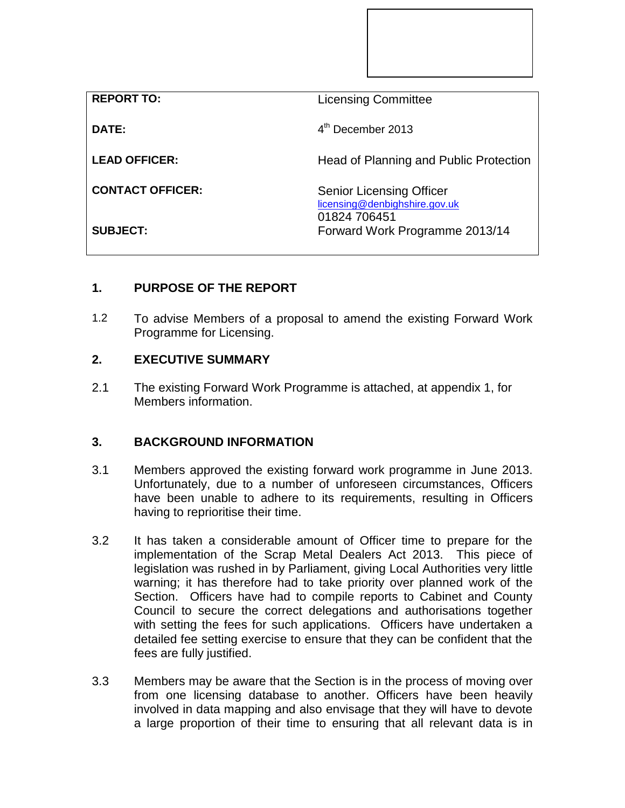| <b>REPORT TO:</b>       | <b>Licensing Committee</b>                                                       |
|-------------------------|----------------------------------------------------------------------------------|
| DATE:                   | $4th$ December 2013                                                              |
| <b>LEAD OFFICER:</b>    | Head of Planning and Public Protection                                           |
| <b>CONTACT OFFICER:</b> | <b>Senior Licensing Officer</b><br>licensing@denbighshire.gov.uk<br>01824 706451 |
| <b>SUBJECT:</b>         | Forward Work Programme 2013/14                                                   |

## **1. PURPOSE OF THE REPORT**

1.2 To advise Members of a proposal to amend the existing Forward Work Programme for Licensing.

## **2. EXECUTIVE SUMMARY**

2.1 The existing Forward Work Programme is attached, at appendix 1, for Members information.

## **3. BACKGROUND INFORMATION**

- 3.1 Members approved the existing forward work programme in June 2013. Unfortunately, due to a number of unforeseen circumstances, Officers have been unable to adhere to its requirements, resulting in Officers having to reprioritise their time.
- 3.2 It has taken a considerable amount of Officer time to prepare for the implementation of the Scrap Metal Dealers Act 2013. This piece of legislation was rushed in by Parliament, giving Local Authorities very little warning; it has therefore had to take priority over planned work of the Section. Officers have had to compile reports to Cabinet and County Council to secure the correct delegations and authorisations together with setting the fees for such applications. Officers have undertaken a detailed fee setting exercise to ensure that they can be confident that the fees are fully justified.
- 3.3 Members may be aware that the Section is in the process of moving over from one licensing database to another. Officers have been heavily involved in data mapping and also envisage that they will have to devote a large proportion of their time to ensuring that all relevant data is in